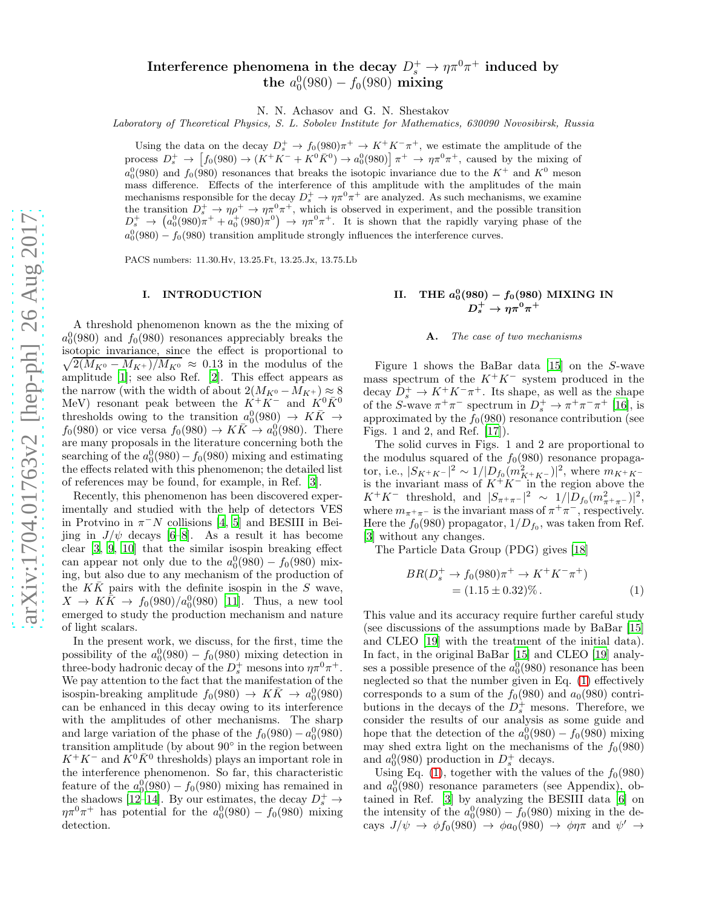# Interference phenomena in the decay  $D_s^+ \to \eta \pi^0 \pi^+$  induced by the  $a_0^0(980) - f_0(980)$  mixing

N. N. Achasov and G. N. Shestakov

Laboratory of Theoretical Physics, S. L. Sobolev Institute for Mathematics, 630090 Novosibirsk, Russia

Using the data on the decay  $D_s^+ \to f_0(980)\pi^+ \to K^+K^-\pi^+$ , we estimate the amplitude of the process  $D_s^+ \to [f_0(980) \to (K^+K^- + K^0\bar{K}^0) \to a_0^0(980)] \pi^+ \to \eta \pi^0 \pi^+$ , caused by the mixing of  $a_0^0(980)$  and  $f_0(980)$  resonances that breaks the isotopic invariance due to the  $K^+$  and  $K^0$  meson mass difference. Effects of the interference of this amplitude with the amplitudes of the main mechanisms responsible for the decay  $D_s^+ \to \eta \pi^0 \pi^+$  are analyzed. As such mechanisms, we examine the transition  $D_s^+ \to \eta \rho^+ \to \eta \pi^0 \pi^+$ , which is observed in experiment, and the possible transition  $D_s^+ \to (a_0^0(980)\pi^+ + a_0^+(980)\pi^0) \to \eta\pi^0\pi^+$ . It is shown that the rapidly varying phase of the  $a_0^0(980) - f_0(980)$  transition amplitude strongly influences the interference curves.

PACS numbers: 11.30.Hv, 13.25.Ft, 13.25.Jx, 13.75.Lb

#### I. INTRODUCTION

A threshold phenomenon known as the the mixing of  $a_0^0(980)$  and  $f_0(980)$  resonances appreciably breaks the isotopic invariance, since the effect is proportional to  $\sqrt{2(M_{K^0}-M_{K^+})/M_{K^0}} \approx 0.13$  in the modulus of the amplitude [\[1\]](#page-5-0); see also Ref. [\[2](#page-5-1)]. This effect appears as the narrow (with the width of about  $2(M_{K^0} - M_{K^+}) \approx 8$ MeV) resonant peak between the  $K^+K^-$  and  $K^0\bar{K}^0$ thresholds owing to the transition  $a_0^0(980) \rightarrow K\bar{K} \rightarrow$  $f_0(980)$  or vice versa  $f_0(980) \rightarrow K\bar{K} \rightarrow a_0^0(980)$ . There are many proposals in the literature concerning both the searching of the  $a_0^0(980) - f_0(980)$  mixing and estimating the effects related with this phenomenon; the detailed list of references may be found, for example, in Ref. [\[3](#page-6-0)].

Recently, this phenomenon has been discovered experimentally and studied with the help of detectors VES in Protvino in  $\pi^- N$  collisions [\[4,](#page-6-1) [5](#page-6-2)] and BESIII in Beijing in  $J/\psi$  decays [\[6](#page-6-3)[–8](#page-6-4)]. As a result it has become clear [\[3,](#page-6-0) [9](#page-6-5), [10\]](#page-6-6) that the similar isospin breaking effect can appear not only due to the  $a_0^0(980) - f_0(980)$  mixing, but also due to any mechanism of the production of the  $K\bar{K}$  pairs with the definite isospin in the S wave,  $X \to K\bar{K} \to f_0(980)/a_0^0(980)$  [\[11\]](#page-6-7). Thus, a new tool emerged to study the production mechanism and nature of light scalars.

In the present work, we discuss, for the first, time the possibility of the  $a_0^0(980) - f_0(980)$  mixing detection in three-body hadronic decay of the  $D_s^+$  mesons into  $\eta \pi^0 \pi^+$ . We pay attention to the fact that the manifestation of the isospin-breaking amplitude  $f_0(980) \rightarrow K\bar{K} \rightarrow a_0^0(980)$ can be enhanced in this decay owing to its interference with the amplitudes of other mechanisms. The sharp and large variation of the phase of the  $f_0(980) - a_0(980)$ transition amplitude (by about 90◦ in the region between  $K^+K^-$  and  $\overline{K}^0\overline{K}^0$  thresholds) plays an important role in the interference phenomenon. So far, this characteristic feature of the  $a_0^0(980) - f_0(980)$  mixing has remained in the shadows [\[12](#page-6-8)[–14\]](#page-6-9). By our estimates, the decay  $D_s^+ \rightarrow$  $\eta \pi^0 \pi^+$  has potential for the  $a_0^0(980) - f_0(980)$  mixing detection.

# II. THE  $a_0^0(980) - f_0(980)$  MIXING IN  $D_s^+ \to \eta \pi^0 \pi^+$

#### A. The case of two mechanisms

Figure 1 shows the BaBar data [\[15\]](#page-6-10) on the S-wave mass spectrum of the  $K^+K^-$  system produced in the decay  $\overline{D_s^+} \to K^+ K^- \pi^+$ . Its shape, as well as the shape of the S-wave  $\pi^+\pi^-$  spectrum in  $D_s^+ \to \pi^+\pi^-\pi^+$  [\[16\]](#page-6-11), is approximated by the  $f_0(980)$  resonance contribution (see Figs. 1 and 2, and Ref. [\[17](#page-6-12)]).

The solid curves in Figs. 1 and 2 are proportional to the modulus squared of the  $f_0(980)$  resonance propagator, i.e.,  $|S_{K^+K^-}|^2 \sim 1/|D_{f_0}(m_{K^+K^-}^2)|^2$ , where  $m_{K^+K^-}$ is the invariant mass of  $K^+K^-$  in the region above the  $K^+K^-$  threshold, and  $|S_{\pi^+\pi^-}|^2 \sim 1/|\overline{D}_{f_0}(m_{\pi^+\pi^-}^2)|^2$ , where  $m_{\pi^+\pi^-}$  is the invariant mass of  $\pi^+\pi^-$ , respectively. Here the  $f_0(980)$  propagator,  $1/D_{f_0}$ , was taken from Ref. [\[3\]](#page-6-0) without any changes.

The Particle Data Group (PDG) gives [\[18\]](#page-6-13)

<span id="page-0-0"></span>
$$
BR(D_s^+ \to f_0(980)\pi^+ \to K^+K^-\pi^+) = (1.15 \pm 0.32)\% .
$$
 (1)

This value and its accuracy require further careful study (see discussions of the assumptions made by BaBar [\[15](#page-6-10)] and CLEO [\[19\]](#page-6-14) with the treatment of the initial data). In fact, in the original BaBar [\[15](#page-6-10)] and CLEO [\[19](#page-6-14)] analyses a possible presence of the  $a_0^0(980)$  resonance has been neglected so that the number given in Eq. [\(1\)](#page-0-0) effectively corresponds to a sum of the  $f_0(980)$  and  $a_0(980)$  contributions in the decays of the  $D_s^+$  mesons. Therefore, we consider the results of our analysis as some guide and hope that the detection of the  $a_0^0(980) - f_0(980)$  mixing may shed extra light on the mechanisms of the  $f_0(980)$ and  $a_0^0(980)$  production in  $D_s^+$  decays.

Using Eq. [\(1\)](#page-0-0), together with the values of the  $f_0(980)$ and  $a_0^0(980)$  resonance parameters (see Appendix), obtained in Ref. [\[3](#page-6-0)] by analyzing the BESIII data [\[6\]](#page-6-3) on the intensity of the  $a_0^0(980) - f_0(980)$  mixing in the decays  $J/\psi \to \phi f_0(980) \to \phi a_0(980) \to \phi \eta \pi$  and  $\psi' \to$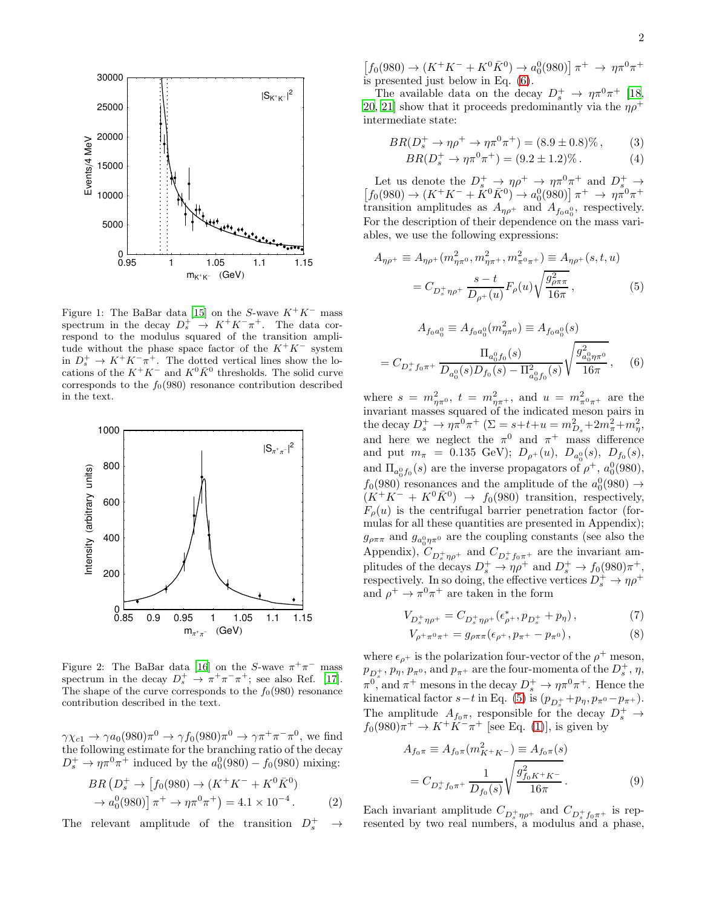

Figure 1: The BaBar data [\[15](#page-6-10)] on the S-wave  $K^+K^-$  mass spectrum in the decay  $D_s^+ \to K^+ K^- \pi^+$ . The data correspond to the modulus squared of the transition amplitude without the phase space factor of the  $K^+K^-$  system in  $D_s^+ \to K^+ K^- \pi^+$ . The dotted vertical lines show the locations of the  $K^+K^-$  and  $K^0\bar{K}^0$  thresholds. The solid curve corresponds to the  $f_0(980)$  resonance contribution described in the text.



Figure 2: The BaBar data [\[16](#page-6-11)] on the S-wave  $\pi^+\pi^-$  mass spectrum in the decay  $D_s^+ \rightarrow \pi^+ \pi^- \pi^+$ ; see also Ref. [\[17](#page-6-12)]. The shape of the curve corresponds to the  $f_0(980)$  resonance contribution described in the text.

 $\gamma \chi_{c1} \to \gamma a_0(980) \pi^0 \to \gamma f_0(980) \pi^0 \to \gamma \pi^+ \pi^- \pi^0$ , we find the following estimate for the branching ratio of the decay  $D_s^+ \to \eta \pi^0 \pi^+$  induced by the  $a_0^0(980) - f_0(980)$  mixing:

<span id="page-1-2"></span>
$$
BR(D_s^+ \to [f_0(980) \to (K^+K^- + K^0 \bar{K}^0) \to a_0^0(980)] \pi^+ \to \eta \pi^0 \pi^+) = 4.1 \times 10^{-4} .
$$
 (2)

The relevant amplitude of the transition  $D_s^+ \rightarrow$ 

 $[f_0(980) \rightarrow (K^+K^- + K^0\bar{K}^0) \rightarrow a_0^0(980)] \pi^+ \rightarrow \eta \pi^0 \pi^+$ is presented just below in Eq. [\(6\)](#page-1-0).

The available data on the decay  $D_s^+ \to \eta \pi^0 \pi^+$  [\[18](#page-6-13), [20](#page-6-15), [21\]](#page-6-16) show that it proceeds predominantly via the  $\eta \rho^+$ intermediate state:

<span id="page-1-3"></span>
$$
BR(D_s^+ \to \eta \rho^+ \to \eta \pi^0 \pi^+) = (8.9 \pm 0.8)\%, \qquad (3)
$$

$$
BR(D_s^+ \to \eta \pi^0 \pi^+) = (9.2 \pm 1.2)\% \,. \tag{4}
$$

Let us denote the  $D_s^+ \to \eta \rho^+ \to \eta \pi^0 \pi^+$  and  $D_s^+ \to$  $[f_0(980) \rightarrow (K^+K^- + \overset{\circ}{K}^0\overset{\circ}{K}^0) \rightarrow a_0^0(980)] \pi^+ \rightarrow \eta \overset{\circ}{\pi}^0 \pi^+$ transition amplitudes as  $A_{\eta\rho^+}$  and  $A_{f_0a_0^0}$ , respectively. For the description of their dependence on the mass variables, we use the following expressions:

<span id="page-1-1"></span>
$$
A_{\eta\rho^{+}} \equiv A_{\eta\rho^{+}}(m_{\eta\pi^{0}}^{2}, m_{\eta\pi^{+}}^{2}, m_{\pi^{0}\pi^{+}}^{2}) \equiv A_{\eta\rho^{+}}(s, t, u)
$$

$$
= C_{D_{s}^{+}\eta\rho^{+}} \frac{s-t}{D_{\rho^{+}}(u)} F_{\rho}(u) \sqrt{\frac{g_{\rho\pi\pi}^{2}}{16\pi}}, \qquad (5)
$$

<span id="page-1-0"></span>
$$
A_{f_0 a_0^0} \equiv A_{f_0 a_0^0}(m_{\eta \pi^0}^2) \equiv A_{f_0 a_0^0}(s)
$$

$$
= C_{D_s^+ f_0 \pi^+} \frac{\Pi_{a_0^0 f_0}(s)}{D_{a_0^0}(s) D_{f_0}(s) - \Pi_{a_0^0 f_0}^2(s)} \sqrt{\frac{g_{a_0^0 \eta \pi^0}}{16\pi}}, \quad (6)
$$

where  $s = m_{\eta \pi^0}^2$ ,  $t = m_{\eta \pi^+}^2$ , and  $u = m_{\pi^0 \pi^+}^2$  are the invariant masses squared of the indicated meson pairs in the decay  $D_s^+ \to \eta \pi^0 \pi^+$  ( $\Sigma = s + t + u = m_{D_s}^2 + 2m_{\pi}^2 + m_{\eta}^2$ , and here we neglect the  $\pi^0$  and  $\pi^+$  mass difference and put  $m_{\pi}$  = 0.135 GeV);  $D_{\rho^+}(u)$ ,  $D_{a_0^0}(s)$ ,  $D_{f_0}(s)$ , and  $\Pi_{a_0^0 f_0}(s)$  are the inverse propagators of  $\rho^+$ ,  $a_0^0(980)$ ,  $f_0(980)$  resonances and the amplitude of the  $a_0(980) \rightarrow$  $(K^+K^- + K^0\bar{K}^0) \rightarrow f_0(980)$  transition, respectively,  $F_{\rho}(u)$  is the centrifugal barrier penetration factor (formulas for all these quantities are presented in Appendix);  $g_{\rho\pi\pi}$  and  $g_{a_0^0\eta\pi^0}$  are the coupling constants (see also the Appendix),  $C_{D_s^+ \eta \rho^+}$  and  $C_{D_s^+ f_0 \pi^+}$  are the invariant amplitudes of the decays  $D_s^+ \to \eta \rho^+$  and  $D_s^+ \to f_0(980)\pi^+$ , respectively. In so doing, the effective vertices  $D_s^+ \to \eta \rho^+$ and  $\rho^+ \to \pi^0 \pi^+$  are taken in the form

$$
V_{D_s^+\eta\rho^+} = C_{D_s^+\eta\rho^+}(\epsilon_{\rho^+}^*, p_{D_s^+} + p_\eta) ,\qquad (7)
$$

$$
V_{\rho^+\pi^0\pi^+} = g_{\rho\pi\pi}(\epsilon_{\rho^+}, p_{\pi^+} - p_{\pi^0}), \qquad (8)
$$

where  $\epsilon_{\rho^+}$  is the polarization four-vector of the  $\rho^+$  meson,  $p_{D_s^+}, p_{\eta}, p_{\pi^0}$ , and  $p_{\pi^+}$  are the four-momenta of the  $D_s^+$ ,  $\eta$ ,  $\pi^0$ , and  $\pi^+$  mesons in the decay  $D_s^+ \to \eta \pi^0 \pi^+$ . Hence the kinematical factor  $s-t$  in Eq. [\(5\)](#page-1-1) is  $(p_{D_s^+}+p_\eta, p_{\pi^0}-p_{\pi^+})$ . The amplitude  $A_{f_0\pi}$ , responsible for the decay  $D_s^+ \to$  $f_0(980) \pi^+ \to K^+ \overline{K^-} \pi^+$  [see Eq. [\(1\)](#page-0-0)], is given by

$$
A_{f_0\pi} \equiv A_{f_0\pi}(m_{K^+K^-}^2) \equiv A_{f_0\pi}(s)
$$
  
=  $C_{D_s^+ f_0\pi^+} \frac{1}{D_{f_0}(s)} \sqrt{\frac{g_{f_0K^+K^-}^2}{16\pi}}$ . (9)

Each invariant amplitude  $C_{D_s^+\eta\rho^+}$  and  $C_{D_s^+f_0\pi^+}$  is represented by two real numbers, a modulus and a phase,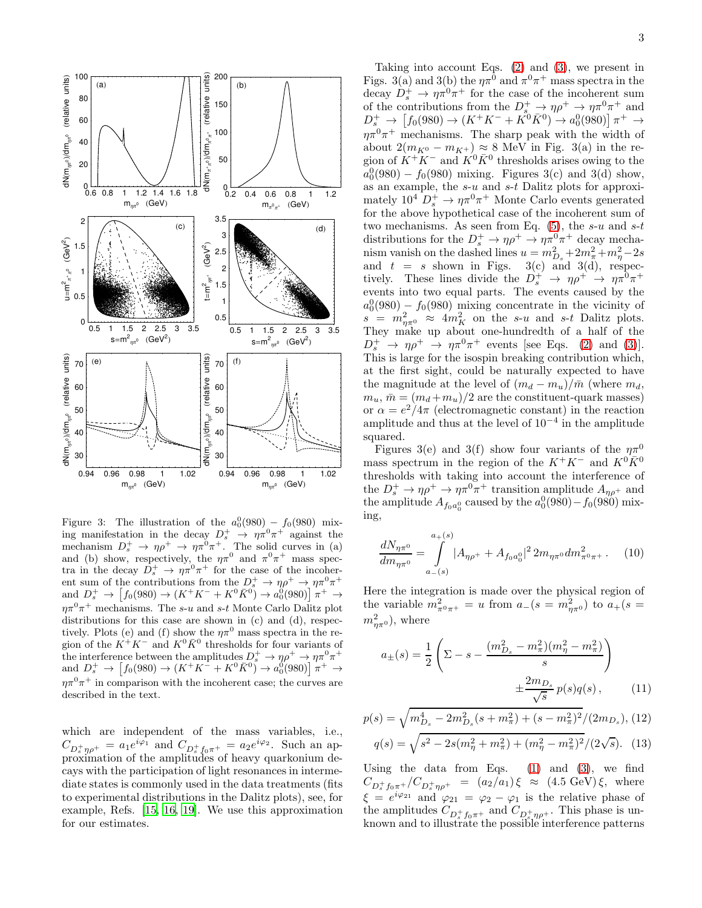

Figure 3: The illustration of the  $a_0^0(980) - f_0(980)$  mixing manifestation in the decay  $D_s^+ \rightarrow \eta \pi^0 \pi^+$  against the mechanism  $D_s^+ \to \eta \rho^+ \to \eta \pi^0 \pi^+$ . The solid curves in (a) and (b) show, respectively, the  $\eta \pi^0$  and  $\pi^0 \pi^+$  mass spectra in the decay  $\overline{D}_s^+ \to \eta \pi^0 \pi^+$  for the case of the incoherent sum of the contributions from the  $D_s^+ \to \eta \rho^+ \to \eta \pi^0 \pi^+$ and  $D_s^+ \to [f_0(980) \to (K^+K^- + K^0\bar{K}^0) \to a_0^0(980)] \pi^+ \to$  $\eta \pi^0 \pi^+$  mechanisms. The s-u and s-t Monte Carlo Dalitz plot distributions for this case are shown in (c) and (d), respectively. Plots (e) and (f) show the  $\eta \pi^0$  mass spectra in the region of the  $K^+K^-$  and  $K^0\bar{K}^0$  thresholds for four variants of the interference between the amplitudes  $D_s^+ \to \eta \rho^+ \to \eta \pi^0 \pi^+$ and  $D_s^+ \to [f_0(980) \to (K^+K^+ + K^0\bar{K}^0) \to a_0^0(980)] \pi^+ \to$  $\eta \pi^0 \pi^+$  in comparison with the incoherent case; the curves are described in the text.

which are independent of the mass variables, i.e.,  $C_{D_s^+\eta\rho^+} = a_1 e^{i\varphi_1}$  and  $C_{D_s^+ f_0 \pi^+} = a_2 e^{i\varphi_2}$ . Such an approximation of the amplitudes of heavy quarkonium decays with the participation of light resonances in intermediate states is commonly used in the data treatments (fits to experimental distributions in the Dalitz plots), see, for example, Refs. [\[15,](#page-6-10) [16,](#page-6-11) [19\]](#page-6-14). We use this approximation for our estimates.

Taking into account Eqs.  $(2)$  and  $(3)$ , we present in Figs. 3(a) and 3(b) the  $\eta \pi^0$  and  $\pi^0 \pi^+$  mass spectra in the decay  $D_s^+ \to \eta \pi^0 \pi^+$  for the case of the incoherent sum of the contributions from the  $D^+_{s} \to \eta \rho^+ \to \eta \pi^0 \pi^+$  and  $D_s^+ \to \left[ f_0(980) \to (K^+K^- + K^0\bar{K}^0) \to a_0^0(980) \right] \pi^+ \to$  $\eta \pi^0 \pi^+$  mechanisms. The sharp peak with the width of about  $2(m_{K^0} - m_{K^+}) \approx 8$  MeV in Fig. 3(a) in the region of  $\ddot{K} + \ddot{K}$  and  $\ddot{K}^0 \bar{K}^0$  thresholds arises owing to the  $a_0^0(980) - f_0(980)$  mixing. Figures 3(c) and 3(d) show, as an example, the  $s-u$  and  $s-t$  Dalitz plots for approximately  $10^4$   $D_s^+$   $\rightarrow \eta \pi^0 \pi^+$  Monte Carlo events generated for the above hypothetical case of the incoherent sum of two mechanisms. As seen from Eq.  $(5)$ , the s-u and s-t distributions for the  $D_s^+ \to \eta \rho^+ \to \eta \pi^0 \pi^+$  decay mechanism vanish on the dashed lines  $u = m_{D_s}^2 + 2m_{\pi}^2 + m_{\eta}^2 - 2s$ and  $t = s$  shown in Figs. 3(c) and 3(d), respectively. These lines divide the  $D_s^+ \rightarrow \eta \rho^+ \rightarrow \eta \pi^0 \pi^+$ events into two equal parts. The events caused by the  $a_0^0(980) - f_0(980)$  mixing concentrate in the vicinity of  $s = m_{\eta \pi^0}^2 \approx 4 m_K^2$  on the s-u and s-t Dalitz plots. They make up about one-hundredth of a half of the  $D_s^+ \rightarrow \eta \rho^+ \rightarrow \eta \pi^0 \pi^+$  events [see Eqs. [\(2\)](#page-1-2) and [\(3\)](#page-1-3)]. This is large for the isospin breaking contribution which, at the first sight, could be naturally expected to have the magnitude at the level of  $(m_d - m_u)/\bar{m}$  (where  $m_d$ ,  $m_u$ ,  $\bar{m} = (m_d + m_u)/2$  are the constituent-quark masses) or  $\alpha = e^2/4\pi$  (electromagnetic constant) in the reaction amplitude and thus at the level of 10<sup>−</sup><sup>4</sup> in the amplitude squared.

Figures 3(e) and 3(f) show four variants of the  $\eta\pi^0$ mass spectrum in the region of the  $K^+K^-$  and  $K^0\bar{K}^0$ thresholds with taking into account the interference of the  $D_s^+ \to \eta \rho^+ \to \eta \pi^0 \pi^+$  transition amplitude  $A_{\eta \rho^+}$  and the amplitude  $A_{f_0a_0^0}$  caused by the  $a_0^0(980) - f_0(980)$  mixing,

$$
\frac{dN_{\eta\pi^{0}}}{dm_{\eta\pi^{0}}} = \int\limits_{a_{-}(s)}^{a_{+}(s)} |A_{\eta\rho^{+}} + A_{f_{0}a_{0}^{0}}|^{2} 2m_{\eta\pi^{0}}dm_{\pi^{0}\pi^{+}}^{2}.
$$
 (10)

Here the integration is made over the physical region of the variable  $m_{\pi^0 \pi^+}^2 = u$  from  $a_{-}(s = m_{\eta \pi^0}^2)$  to  $a_{+}(s =$  $(m_{\eta\pi^0}^2)$ , where

$$
a_{\pm}(s) = \frac{1}{2} \left( \Sigma - s - \frac{(m_{D_s}^2 - m_{\pi}^2)(m_{\eta}^2 - m_{\pi}^2)}{s} \right)
$$

$$
\pm \frac{2m_{D_s}}{\sqrt{s}} p(s)q(s), \qquad (11)
$$

$$
p(s) = \sqrt{m_{D_s}^4 - 2m_{D_s}^2(s + m_{\pi}^2) + (s - m_{\pi}^2)^2} / (2m_{D_s}),
$$
 (12)

$$
q(s) = \sqrt{s^2 - 2s(m_\eta^2 + m_\pi^2) + (m_\eta^2 - m_\pi^2)^2} / (2\sqrt{s}).
$$
 (13)

Using the data from Eqs.  $(1)$  and  $(3)$ , we find  $C_{D_s^+ f_0 \pi^+}/C_{D_s^+ \eta \rho^+} = (a_2/a_1) \xi \approx (4.5 \text{ GeV}) \xi$ , where  $\xi = e^{i\varphi_{21}}$  and  $\varphi_{21} = \varphi_2 - \varphi_1$  is the relative phase of the amplitudes  $C_{D_s^+ f_0 \pi^+}$  and  $C_{D_s^+ \eta \rho^+}$ . This phase is unknown and to illustrate the possible interference patterns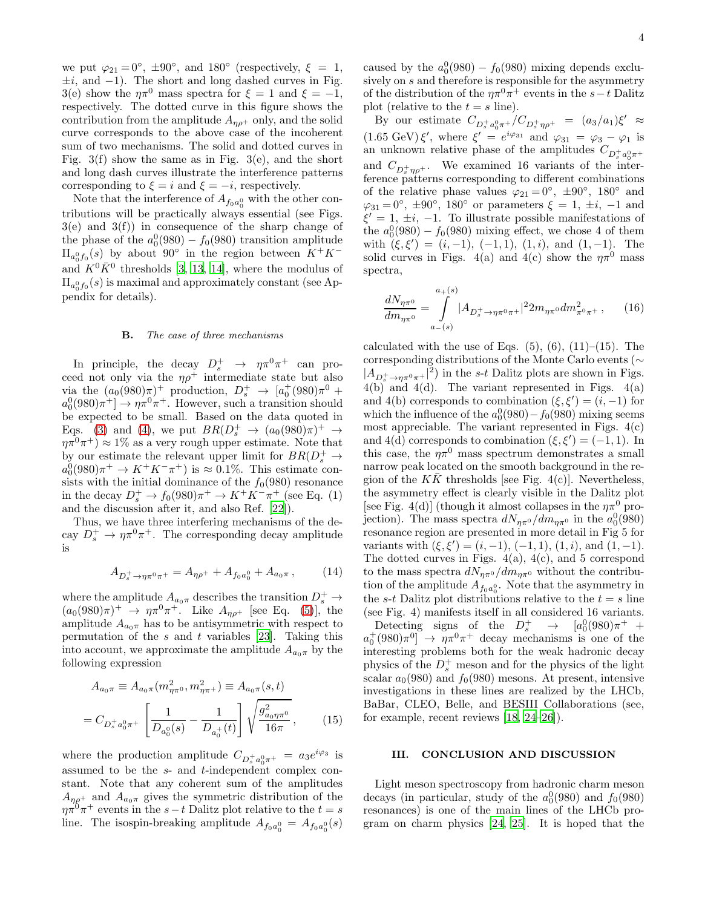we put  $\varphi_{21} = 0^{\circ}$ ,  $\pm 90^{\circ}$ , and  $180^{\circ}$  (respectively,  $\xi = 1$ ,  $\pm i$ , and  $-1$ ). The short and long dashed curves in Fig. 3(e) show the  $\eta \pi^0$  mass spectra for  $\xi = 1$  and  $\xi = -1$ , respectively. The dotted curve in this figure shows the contribution from the amplitude  $A_{n\rho^+}$  only, and the solid curve corresponds to the above case of the incoherent sum of two mechanisms. The solid and dotted curves in Fig. 3(f) show the same as in Fig. 3(e), and the short and long dash curves illustrate the interference patterns corresponding to  $\xi = i$  and  $\xi = -i$ , respectively.

Note that the interference of  $A_{f_0a_0^0}$  with the other contributions will be practically always essential (see Figs.  $3(e)$  and  $3(f)$  in consequence of the sharp change of the phase of the  $a_0^0(980) - f_0(980)$  transition amplitude  $\Pi_{a_0^0 f_0}(s)$  by about 90° in the region between  $K^+ K^$ and  $K^0 \overline{K}^0$  thresholds [\[3,](#page-6-0) [13,](#page-6-17) [14](#page-6-9)], where the modulus of  $\Pi_{a_0^0f_0}(s)$  is maximal and approximately constant (see Appendix for details).

#### **B.** The case of three mechanisms

In principle, the decay  $D_s^+ \rightarrow \eta \pi^0 \pi^+$  can proceed not only via the  $\eta \rho^+$  intermediate state but also via the  $(a_0(980)\pi)^+$  production,  $D_s^+ \to [a_0^+(980)\pi^0 +$  $a_0^0(980)\pi^+] \rightarrow \eta \pi^0 \pi^+$ . However, such a transition should be expected to be small. Based on the data quoted in Eqs. [\(3\)](#page-1-3) and [\(4\)](#page-1-3), we put  $BR(D_s^+ \rightarrow (a_0(980)\pi)^+ \rightarrow$  $\eta \pi^0 \pi^+$   $\approx 1\%$  as a very rough upper estimate. Note that by our estimate the relevant upper limit for  $BR(D_s^+ \rightarrow$  $a_0^0(980)\pi^+ \rightarrow K^+K^-\pi^+$  is  $\approx 0.1\%$ . This estimate consists with the initial dominance of the  $f_0(980)$  resonance in the decay  $D_s^+ \to f_0(980)\pi^+ \to K^+K^-\pi^+$  (see Eq. (1) and the discussion after it, and also Ref. [\[22\]](#page-6-18)).

Thus, we have three interfering mechanisms of the decay  $D_s^+ \to \eta \pi^0 \pi^+$ . The corresponding decay amplitude is

<span id="page-3-0"></span>
$$
A_{D_s^+ \to \eta \pi^0 \pi^+} = A_{\eta \rho^+} + A_{f_0 a_0^0} + A_{a_0 \pi} ,\qquad (14)
$$

where the amplitude  $A_{a_0\pi}$  describes the transition  $D_s^+ \rightarrow$  $(a_0(980)\pi)^+ \to \eta \pi^0 \pi^+$ . Like  $A_{\eta \rho^+}$  [see Eq. [\(5\)](#page-1-1)], the amplitude  $A_{a_0\pi}$  has to be antisymmetric with respect to permutation of the  $s$  and  $t$  variables [\[23\]](#page-6-19). Taking this into account, we approximate the amplitude  $A_{a_0\pi}$  by the following expression

$$
A_{a_0\pi} \equiv A_{a_0\pi}(m_{\eta\pi^0}^2, m_{\eta\pi^+}^2) \equiv A_{a_0\pi}(s, t)
$$

$$
= C_{D_s^+ a_0^0 \pi^+} \left[ \frac{1}{D_{a_0^0}(s)} - \frac{1}{D_{a_0^+}(t)} \right] \sqrt{\frac{g_{a_0\eta\pi^0}^2}{16\pi}}, \tag{15}
$$

where the production amplitude  $C_{D_s^+ a_0^0 \pi^+} = a_3 e^{i\varphi_3}$  is assumed to be the s- and t-independent complex constant. Note that any coherent sum of the amplitudes  $A_{n\rho^+}$  and  $A_{a_0\pi}$  gives the symmetric distribution of the  $\eta \pi^0 \pi^+$  events in the  $s-t$  Dalitz plot relative to the  $t = s$ line. The isospin-breaking amplitude  $A_{f_0a_0^0} = A_{f_0a_0^0}(s)$ 

caused by the  $a_0^0(980) - f_0(980)$  mixing depends exclusively on  $s$  and therefore is responsible for the asymmetry of the distribution of the  $\eta \pi^0 \pi^+$  events in the s−t Dalitz plot (relative to the  $t = s$  line).

By our estimate  $C_{D_s^+ a_0^0 \pi^+}/C_{D_s^+ \eta \rho^+} = (a_3/a_1)\xi' \approx$  $(1.65 \text{ GeV}) \xi'$ , where  $\xi' = e^{i\varphi_{31}}$  and  $\varphi_{31} = \varphi_{3} - \varphi_{1}$  is an unknown relative phase of the amplitudes  $C_{D_s^+ a_0^0 \pi^+}$ and  $C_{D_s^+\eta\rho^+}$ . We examined 16 variants of the interference patterns corresponding to different combinations of the relative phase values  $\varphi_{21} = 0^\circ$ ,  $\pm 90^\circ$ ,  $180^\circ$  and  $\varphi_{31} = 0^{\circ}, \pm 90^{\circ}, 180^{\circ}$  or parameters  $\xi = 1, \pm i, -1$  and  $\xi' = 1, \pm i, -1$ . To illustrate possible manifestations of the  $a_0^0(980) - f_0(980)$  mixing effect, we chose 4 of them with  $(\xi, \xi') = (i, -1), (-1, 1), (1, i),$  and  $(1, -1)$ . The solid curves in Figs. 4(a) and 4(c) show the  $\eta \pi^0$  mass spectra,

<span id="page-3-1"></span>
$$
\frac{dN_{\eta\pi^{0}}}{dm_{\eta\pi^{0}}} = \int_{a_{-}(s)}^{a_{+}(s)} |A_{D_{s}^{+}\to\eta\pi^{0}\pi^{+}}|^{2} 2m_{\eta\pi^{0}} dm_{\pi^{0}\pi^{+}}^{2}, \qquad (16)
$$

calculated with the use of Eqs.  $(5)$ ,  $(6)$ ,  $(11)$ – $(15)$ . The corresponding distributions of the Monte Carlo events (∼  $|A_{D_s^+\to\eta\pi^0\pi^+}|^2$  in the s-t Dalitz plots are shown in Figs.  $4(b)$  and  $4(d)$ . The variant represented in Figs.  $4(a)$ and 4(b) corresponds to combination  $(\xi, \xi') = (i, -1)$  for which the influence of the  $a_0^0(980) - f_0(980)$  mixing seems most appreciable. The variant represented in Figs.  $4(c)$ and 4(d) corresponds to combination  $(\xi, \xi') = (-1, 1)$ . In this case, the  $\eta \pi^0$  mass spectrum demonstrates a small narrow peak located on the smooth background in the region of the  $K\bar{K}$  thresholds [see Fig. 4(c)]. Nevertheless, the asymmetry effect is clearly visible in the Dalitz plot [see Fig. 4(d)] (though it almost collapses in the  $\eta \pi^0$  projection). The mass spectra  $dN_{\eta\pi^0}/dm_{\eta\pi^0}$  in the  $a_0^0(980)$ resonance region are presented in more detail in Fig 5 for variants with  $(\xi, \xi') = (i, -1), (-1, 1), (1, i),$  and  $(1, -1)$ . The dotted curves in Figs.  $4(a)$ ,  $4(c)$ , and 5 correspond to the mass spectra  $dN_{\eta\pi^0}/dm_{\eta\pi^0}$  without the contribution of the amplitude  $A_{f_0a_0^0}$ . Note that the asymmetry in the s-t Dalitz plot distributions relative to the  $t = s$  line (see Fig. 4) manifests itself in all considered 16 variants. Detecting signs of the  $D_s^+$   $\rightarrow$   $[a_0^0(980)\pi^+$  +  $a_0^+(980)\pi^0$   $\rightarrow \eta\pi^0\pi^+$  decay mechanisms is one of the interesting problems both for the weak hadronic decay physics of the  $D_s^+$  meson and for the physics of the light scalar  $a_0(980)$  and  $f_0(980)$  mesons. At present, intensive investigations in these lines are realized by the LHCb, BaBar, CLEO, Belle, and BESIII Collaborations (see, for example, recent reviews [\[18,](#page-6-13) [24](#page-6-20)[–26\]](#page-6-21)).

## III. CONCLUSION AND DISCUSSION

Light meson spectroscopy from hadronic charm meson decays (in particular, study of the  $a_0^0(980)$  and  $f_0(980)$ resonances) is one of the main lines of the LHCb program on charm physics [\[24](#page-6-20), [25\]](#page-6-22). It is hoped that the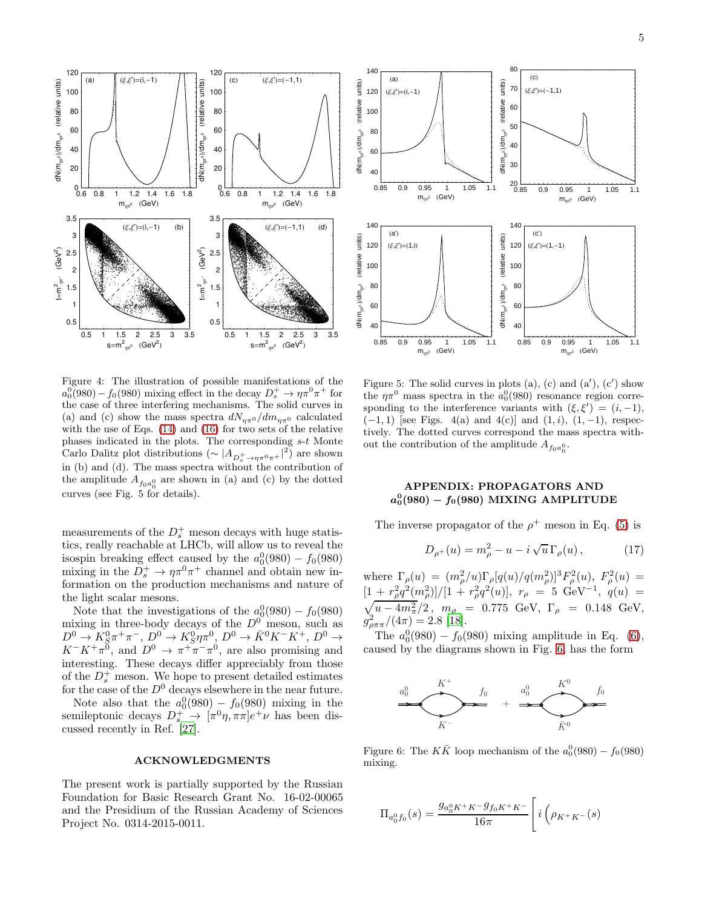

Figure 4: The illustration of possible manifestations of the  $a_0^0(980) - f_0(980)$  mixing effect in the decay  $D_s^+ \to \eta \pi^0 \pi^+$  for the case of three interfering mechanisms. The solid curves in (a) and (c) show the mass spectra  $dN_{\eta\pi^0}/dm_{\eta\pi^0}$  calculated with the use of Eqs. [\(14\)](#page-3-0) and [\(16\)](#page-3-1) for two sets of the relative phases indicated in the plots. The corresponding s-t Monte Carlo Dalitz plot distributions  $\left(\sim |A_{D_s^+ \to \eta \pi^0 \pi^+}|^2\right)$  are shown in (b) and (d). The mass spectra without the contribution of the amplitude  $A_{f_0a_0^0}$  are shown in (a) and (c) by the dotted curves (see Fig. 5 for details).

measurements of the  $D_s^+$  meson decays with huge statistics, really reachable at LHCb, will allow us to reveal the isospin breaking effect caused by the  $a_0^0(980) - f_0(980)$ mixing in the  $D_s^+ \to \eta \pi^0 \pi^+$  channel and obtain new information on the production mechanisms and nature of the light scalar mesons.

Note that the investigations of the  $a_0^0(980) - f_0(980)$ mixing in three-body decays of the  $D^0$  meson, such as  $D^0 \to K_S^0 \pi^+ \pi^-, D^0 \to K_S^0 \eta \pi^0, D^0 \to \bar{K}^0 K^- K^+, D^0 \to$  $K^-K^+\pi^0$ , and  $D^0 \to \pi^+\pi^-\pi^0$ , are also promising and interesting. These decays differ appreciably from those of the  $D_s^+$  meson. We hope to present detailed estimates for the case of the  $D^0$  decays elsewhere in the near future.

Note also that the  $a_0^0(980) - f_0(980)$  mixing in the semileptonic decays  $D_s^+ \rightarrow [\pi^0 \eta, \pi \pi] e^+ \nu$  has been discussed recently in Ref. [\[27](#page-6-23)].

### ACKNOWLEDGMENTS

The present work is partially supported by the Russian Foundation for Basic Research Grant No. 16-02-00065 and the Presidium of the Russian Academy of Sciences Project No. 0314-2015-0011.



Figure 5: The solid curves in plots  $(a)$ ,  $(c)$  and  $(a')$ ,  $(c')$  show the  $\eta \pi^0$  mass spectra in the  $a_0^0(980)$  resonance region corresponding to the interference variants with  $(\xi, \xi') = (i, -1)$ ,  $(-1, 1)$  [see Figs. 4(a) and 4(c)] and  $(1, i)$ ,  $(1, -1)$ , respectively. The dotted curves correspond the mass spectra without the contribution of the amplitude  $A_{f_0a_0^0}$ .

# APPENDIX: PROPAGATORS AND  $a_0^0(980) - f_0(980)$  MIXING AMPLITUDE

The inverse propagator of the  $\rho^+$  meson in Eq. [\(5\)](#page-1-1) is

$$
D_{\rho^+}(u) = m_{\rho}^2 - u - i \sqrt{u} \Gamma_{\rho}(u) , \qquad (17)
$$

where  $\Gamma_{\rho}(u) = (m_{\rho}^2/u)\Gamma_{\rho}[q(u)/q(m_{\rho}^2)]^3 F_{\rho}^2(u), F_{\rho}^2(u) =$  $[1 + r_\rho^2 q^2(m_\rho^2)]/[1 + r_\rho^2 q^2(u)], r_\rho = 5 \text{ GeV}^{-1}, q(u) =$  $\sqrt{u-4m_{\pi}^2}/2$ ,  $m_{\rho} = 0.775 \text{ GeV}, \Gamma_{\rho} = 0.148 \text{ GeV},$  $g_{\rho\pi\pi}^2/(4\pi) = 2.8$  [\[18\]](#page-6-13).

The  $a_0^0(980) - f_0(980)$  mixing amplitude in Eq. [\(6\)](#page-1-0), caused by the diagrams shown in Fig. [6,](#page-4-0) has the form



<span id="page-4-0"></span>Figure 6: The  $K\bar{K}$  loop mechanism of the  $a_0^0(980) - f_0(980)$ mixing.

$$
\Pi_{a_0^0 f_0}(s) = \frac{g_{a_0^0 K^+ K^-} g_{f_0 K^+ K^-}}{16\pi} \left[ i \left( \rho_{K^+ K^-}(s) \right) \right]
$$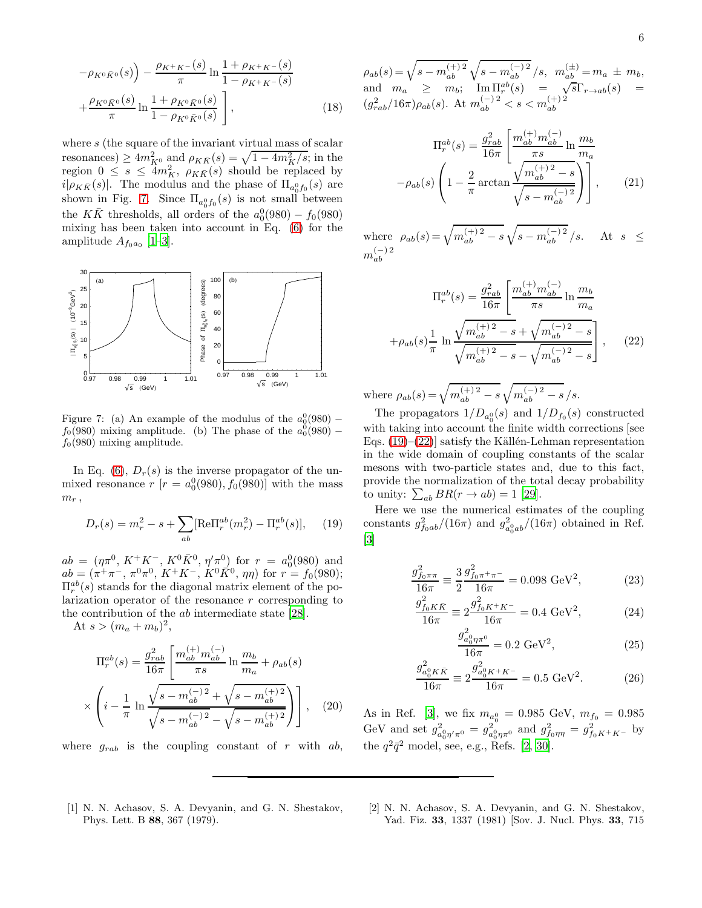$$
-\rho_{K^{0}\bar{K}^{0}}(s)\n)-\frac{\rho_{K^{+}K^{-}}(s)}{\pi}\ln\frac{1+\rho_{K^{+}K^{-}}(s)}{1-\rho_{K^{+}K^{-}}(s)}
$$
\n
$$
+\frac{\rho_{K^{0}\bar{K}^{0}}(s)}{\pi}\ln\frac{1+\rho_{K^{0}\bar{K}^{0}}(s)}{1-\rho_{K^{0}\bar{K}^{0}}(s)}\bigg],
$$
\n(18)

where s (the square of the invariant virtual mass of scalar resonances)  $\geq 4m_{K^0}^2$  and  $\rho_{K\bar{K}}(s) = \sqrt{1-4m_K^2/s}$ ; in the region  $0 \leq s \leq 4m_K^2$ ,  $\rho_{K\bar{K}}(s)$  should be replaced by  $i|\rho_{K\bar K}(s)|$ . The modulus and the phase of  $\Pi_{a_0^0f_0}(s)$  are shown in Fig. [7.](#page-5-2) Since  $\Pi_{a_0^0 f_0}(s)$  is not small between the  $K\bar{K}$  thresholds, all orders of the  $a_0^0(980) - f_0(980)$ mixing has been taken into account in Eq. [\(6\)](#page-1-0) for the amplitude  $A_{f_0a_0}$  [\[1](#page-5-0)-3].



<span id="page-5-2"></span>Figure 7: (a) An example of the modulus of the  $a_0^0(980)$  –  $f_0(980)$  mixing amplitude. (b) The phase of the  $a_0(980)$  –  $f<sub>0</sub>(980)$  mixing amplitude.

In Eq. [\(6\)](#page-1-0),  $D_r(s)$  is the inverse propagator of the unmixed resonance  $r$  [ $r = a_0^0(980), f_0(980)$ ] with the mass  $m_r$ ,

<span id="page-5-3"></span>
$$
D_r(s) = m_r^2 - s + \sum_{ab} [\text{Re}\Pi_r^{ab}(m_r^2) - \Pi_r^{ab}(s)], \quad (19)
$$

 $ab = (\eta \pi^0, K^+K^-, K^0 \bar{K}^0, \eta' \pi^0)$  for  $r = a_0^0(980)$  and  $ab = (\pi^+\pi^-, \pi^0\pi^0, K^+K^-, K^0\overline{K}^0, \eta\eta)$  for  $r = f_0(980);$  $\Pi_r^{ab}(s)$  stands for the diagonal matrix element of the polarization operator of the resonance  $r$  corresponding to the contribution of the ab intermediate state [\[28](#page-6-24)].

At  $s > (m_a + m_b)^2$ ,

$$
\Pi_r^{ab}(s) = \frac{g_{rab}^2}{16\pi} \left[ \frac{m_{ab}^{(+)}m_{ab}^{(-)}}{\pi s} \ln \frac{m_b}{m_a} + \rho_{ab}(s) \times \left( i - \frac{1}{\pi} \ln \frac{\sqrt{s - m_{ab}^{(-)}}^2}{\sqrt{s - m_{ab}^{(-)}}^2} + \sqrt{s - m_{ab}^{(+)}}^2} \right) \right], \quad (20)
$$

where  $g_{rab}$  is the coupling constant of r with ab,

 $\rho_{ab}(s) = \sqrt{s - m_{ab}^{(+)2}} \sqrt{s - m_{ab}^{(-)2}} / s, \ \ m_{ab}^{(\pm)} = m_a \ \pm \ m_b,$ and  $m_a \geq m_b$ ;  $\lim_{s \to 0} \Pi_r^{ab}(s) = \sqrt{s} \Gamma_{r \to ab}(s) =$  $(g_{rab}^2/16\pi)\rho_{ab}(s)$ . At  $m_{ab}^{(-)2} < s < m_{ab}^{(+)2}$ 

$$
\Pi_r^{ab}(s) = \frac{g_{rab}^2}{16\pi} \left[ \frac{m_{ab}^{(+)}m_{ab}^{(-)}}{\pi s} \ln \frac{m_b}{m_a} -\rho_{ab}(s) \left( 1 - \frac{2}{\pi} \arctan \frac{\sqrt{m_{ab}^{(+)}^2 - s}}{\sqrt{s - m_{ab}^{(-)}^2}} \right) \right],
$$
 (21)

where  $\rho_{ab}(s) = \sqrt{m_{ab}^{(+) 2} - s} \sqrt{s - m_{ab}^{(-) 2}} / s$ . At  $s \leq$  $m_{ab}^{(-)2}$ ab

<span id="page-5-4"></span>
$$
\Pi_r^{ab}(s) = \frac{g_{rab}^2}{16\pi} \left[ \frac{m_{ab}^{(+)} m_{ab}^{(-)}}{\pi s} \ln \frac{m_b}{m_a} \right. \n+ \rho_{ab}(s) \frac{1}{\pi} \ln \frac{\sqrt{m_{ab}^{(+)}^2 - s} + \sqrt{m_{ab}^{(-)}^2 - s}}{\sqrt{m_{ab}^{(+)}^2 - s} - \sqrt{m_{ab}^{(-)}^2 - s}} \right], \quad (22)
$$

where  $\rho_{ab}(s) = \sqrt{m_{ab}^{(+)2} - s} \sqrt{m_{ab}^{(-)2} - s} / s.$ 

The propagators  $1/D_{a_0^0}(s)$  and  $1/D_{f_0}(s)$  constructed with taking into account the finite width corrections [see Eqs.  $(19)–(22)$  $(19)–(22)$ ] satisfy the Källén-Lehman representation in the wide domain of coupling constants of the scalar mesons with two-particle states and, due to this fact, provide the normalization of the total decay probability to unity:  $\sum_{ab} BR(r \to ab) = 1$  [\[29](#page-6-25)].

Here we use the numerical estimates of the coupling constants  $g_{f_0ab}^2/(16\pi)$  and  $g_{a_0^0ab}^2/(16\pi)$  obtained in Ref. [\[3\]](#page-6-0)

$$
\frac{g_{f_0\pi\pi}^2}{16\pi} \equiv \frac{3}{2} \frac{g_{f_0\pi^+\pi^-}^2}{16\pi} = 0.098 \text{ GeV}^2,
$$
 (23)

$$
\frac{g_{f_0 K\bar{K}}^2}{16\pi} \equiv 2 \frac{g_{f_0 K^+ K^-}^2}{16\pi} = 0.4 \text{ GeV}^2,
$$
 (24)

$$
\frac{g_{a_0^0 \eta \pi^0}^2}{16\pi} = 0.2 \text{ GeV}^2,
$$
\n(25)

$$
\frac{g_{a_0^K K\bar{K}}^2}{16\pi} \equiv 2 \frac{g_{a_0^K K^+ K^-}^2}{16\pi} = 0.5 \text{ GeV}^2. \tag{26}
$$

As in Ref. [\[3\]](#page-6-0), we fix  $m_{a_0^0} = 0.985 \text{ GeV}, m_{f_0} = 0.985$ GeV and set  $g_{a_0^0 \eta' \pi^0}^2 = g_{a_0^0 \eta \pi^0}^2$  and  $g_{f_0 \eta \eta}^2 = g_{f_0 K^+ K^-}^2$  by the  $q^2\bar{q}^2$  model, see, e.g., Refs. [\[2,](#page-5-1) [30](#page-6-26)].

- <span id="page-5-0"></span>[1] N. N. Achasov, S. A. Devyanin, and G. N. Shestakov, Phys. Lett. B 88, 367 (1979).
- <span id="page-5-1"></span>[2] N. N. Achasov, S. A. Devyanin, and G. N. Shestakov, Yad. Fiz. 33, 1337 (1981) [Sov. J. Nucl. Phys. 33, 715